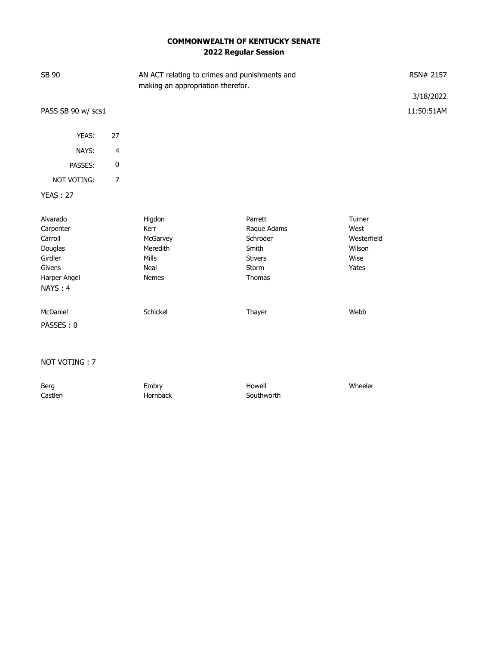# **COMMONWEALTH OF KENTUCKY SENATE 2022 Regular Session**

| SB 90                         | AN ACT relating to crimes and punishments and<br>making an appropriation therefor. |                |             | RSN# 2157               |  |
|-------------------------------|------------------------------------------------------------------------------------|----------------|-------------|-------------------------|--|
| PASS SB 90 w/ scs1            |                                                                                    |                |             | 3/18/2022<br>11:50:51AM |  |
|                               |                                                                                    |                |             |                         |  |
| YEAS:<br>27                   |                                                                                    |                |             |                         |  |
| NAYS:<br>4                    |                                                                                    |                |             |                         |  |
| 0<br>PASSES:                  |                                                                                    |                |             |                         |  |
| NOT VOTING:<br>$\overline{7}$ |                                                                                    |                |             |                         |  |
| <b>YEAS: 27</b>               |                                                                                    |                |             |                         |  |
| Alvarado                      | Higdon                                                                             | Parrett        | Turner      |                         |  |
| Carpenter                     | Kerr                                                                               | Raque Adams    | West        |                         |  |
| Carroll                       | McGarvey                                                                           | Schroder       | Westerfield |                         |  |
| Douglas                       | Meredith                                                                           | Smith          | Wilson      |                         |  |
| Girdler                       | <b>Mills</b>                                                                       | <b>Stivers</b> | Wise        |                         |  |
| Givens                        | Neal                                                                               | Storm          | Yates       |                         |  |
| Harper Angel                  | Nemes                                                                              | Thomas         |             |                         |  |
| NAYS: 4                       |                                                                                    |                |             |                         |  |
| McDaniel                      | Schickel                                                                           | Thayer         | Webb        |                         |  |
| PASSES: 0                     |                                                                                    |                |             |                         |  |

#### NOT VOTING : 7

| Berg    | Embry    | Howell     | Wheeler |
|---------|----------|------------|---------|
| Castlen | Hornback | Southworth |         |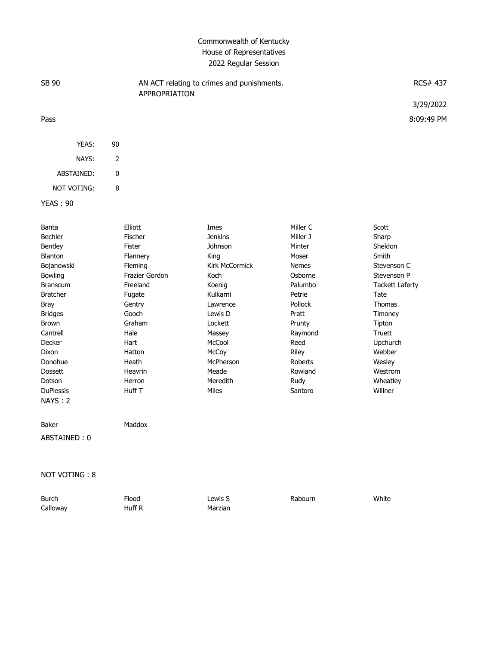#### Commonwealth of Kentucky House of Representatives 2022 Regular Session

| SB 90              |    | AN ACT relating to crimes and punishments.<br>APPROPRIATION | <b>RCS# 437</b> |
|--------------------|----|-------------------------------------------------------------|-----------------|
|                    |    |                                                             | 3/29/2022       |
| Pass               |    |                                                             | 8:09:49 PM      |
| YEAS:              | 90 |                                                             |                 |
| NAYS:              | 2  |                                                             |                 |
| ABSTAINED:         | 0  |                                                             |                 |
| <b>NOT VOTING:</b> | 8  |                                                             |                 |
| <b>YEAS: 90</b>    |    |                                                             |                 |

| Banta            | Elliott        | Imes           | Miller C     | Scott                  |
|------------------|----------------|----------------|--------------|------------------------|
| Bechler          | Fischer        | <b>Jenkins</b> | Miller J     | Sharp                  |
| Bentley          | Fister         | Johnson        | Minter       | <b>Sheldon</b>         |
| Blanton          | Flannery       | King           | Moser        | Smith                  |
| Bojanowski       | Fleming        | Kirk McCormick | <b>Nemes</b> | Stevenson C            |
| <b>Bowling</b>   | Frazier Gordon | Koch           | Osborne      | Stevenson P            |
| <b>Branscum</b>  | Freeland       | Koenig         | Palumbo      | <b>Tackett Laferty</b> |
| <b>Bratcher</b>  | Fugate         | Kulkarni       | Petrie       | Tate                   |
| Bray             | Gentry         | Lawrence       | Pollock      | <b>Thomas</b>          |
| <b>Bridges</b>   | Gooch          | Lewis D        | Pratt        | Timoney                |
| <b>Brown</b>     | Graham         | Lockett        | Prunty       | Tipton                 |
| Cantrell         | Hale           | Massey         | Raymond      | Truett                 |
| Decker           | Hart           | McCool         | Reed         | Upchurch               |
| Dixon            | Hatton         | McCoy          | Riley        | Webber                 |
| Donohue          | Heath          | McPherson      | Roberts      | Wesley                 |
| <b>Dossett</b>   | Heavrin        | Meade          | Rowland      | Westrom                |
| Dotson           | Herron         | Meredith       | Rudy         | Wheatley               |
| <b>DuPlessis</b> | Huff T         | <b>Miles</b>   | Santoro      | Willner                |
| <b>NAYS: 2</b>   |                |                |              |                        |
| Baker            | Maddox         |                |              |                        |

ABSTAINED : 0

NOT VOTING : 8

Burch Flood Lewis S Rabourn White Calloway **Huff R** Marzian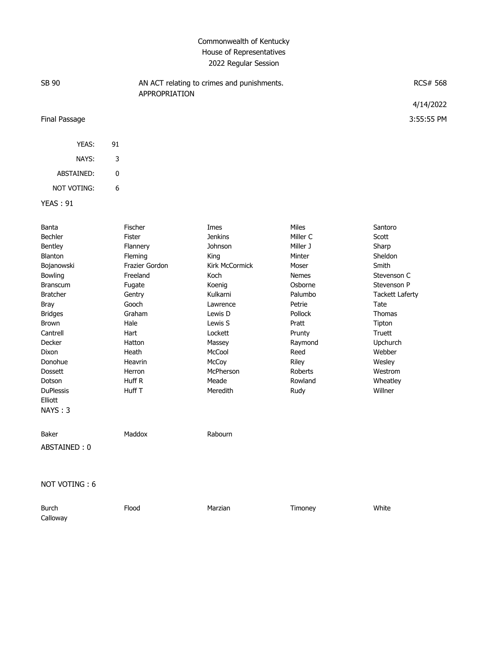# Commonwealth of Kentucky House of Representatives 2022 Regular Session

| SB 90            | APPROPRIATION     | AN ACT relating to crimes and punishments. |                   | <b>RCS# 568</b>  |  |
|------------------|-------------------|--------------------------------------------|-------------------|------------------|--|
|                  |                   |                                            |                   | 4/14/2022        |  |
| Final Passage    |                   |                                            |                   | 3:55:55 PM       |  |
| YEAS:            | 91                |                                            |                   |                  |  |
| NAYS:            | 3                 |                                            |                   |                  |  |
| ABSTAINED:       | $\pmb{0}$         |                                            |                   |                  |  |
| NOT VOTING:      | 6                 |                                            |                   |                  |  |
| <b>YEAS: 91</b>  |                   |                                            |                   |                  |  |
| Banta<br>Bechler | Fischer<br>Fister | Imes<br><b>Jenkins</b>                     | Miles<br>Miller C | Santoro<br>Scott |  |

| Bentley          | Flannery       | Johnson        | Miller J     | Sharp                  |
|------------------|----------------|----------------|--------------|------------------------|
| Blanton          | Fleming        | King           | Minter       | Sheldon                |
| Bojanowski       | Frazier Gordon | Kirk McCormick | Moser        | Smith                  |
| Bowling          | Freeland       | Koch           | <b>Nemes</b> | Stevenson C            |
| <b>Branscum</b>  | Fugate         | Koenig         | Osborne      | Stevenson P            |
| <b>Bratcher</b>  | Gentry         | Kulkarni       | Palumbo      | <b>Tackett Laferty</b> |
| Bray             | Gooch          | Lawrence       | Petrie       | Tate                   |
| <b>Bridges</b>   | Graham         | Lewis D        | Pollock      | <b>Thomas</b>          |
| <b>Brown</b>     | Hale           | Lewis S        | Pratt        | Tipton                 |
| Cantrell         | Hart           | Lockett        | Prunty       | <b>Truett</b>          |
| Decker           | Hatton         | Massey         | Raymond      | Upchurch               |
| Dixon            | Heath          | McCool         | Reed         | Webber                 |
| Donohue          | Heavrin        | McCoy          | Riley        | Wesley                 |
| <b>Dossett</b>   | Herron         | McPherson      | Roberts      | Westrom                |
| Dotson           | Huff R         | Meade          | Rowland      | Wheatley               |
| <b>DuPlessis</b> | Huff T         | Meredith       | Rudy         | Willner                |
| Elliott          |                |                |              |                        |
| NAYS: 3          |                |                |              |                        |
| Baker            | Maddox         | Rabourn        |              |                        |
| ABSTAINED: 0     |                |                |              |                        |
|                  |                |                |              |                        |
| NOT VOTING: 6    |                |                |              |                        |

| Burch    | Flood | Marzian | Timoney | White |
|----------|-------|---------|---------|-------|
| Calloway |       |         |         |       |